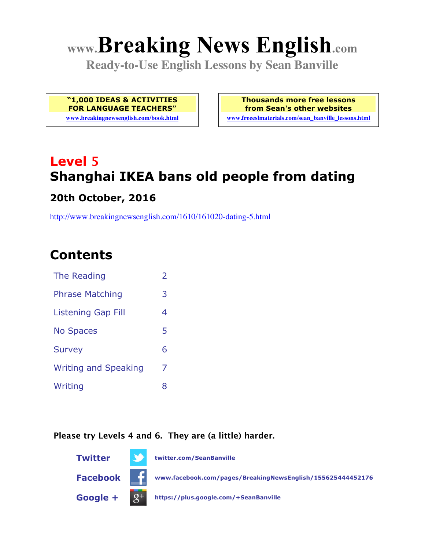# **www.Breaking News English.com**

**Ready-to-Use English Lessons by Sean Banville**

**"1,000 IDEAS & ACTIVITIES FOR LANGUAGE TEACHERS"**

**www.breakingnewsenglish.com/book.html**

**Thousands more free lessons from Sean's other websites www.freeeslmaterials.com/sean\_banville\_lessons.html**

# **Level 5 Shanghai IKEA bans old people from dating**

#### **20th October, 2016**

http://www.breakingnewsenglish.com/1610/161020-dating-5.html

# **Contents**

| The Reading                 | $\overline{\phantom{a}}$ |
|-----------------------------|--------------------------|
| <b>Phrase Matching</b>      | 3                        |
| <b>Listening Gap Fill</b>   | 4                        |
| <b>No Spaces</b>            | 5                        |
| <b>Survey</b>               | 6                        |
| <b>Writing and Speaking</b> | 7                        |
| Writing                     | 8                        |

#### **Please try Levels 4 and 6. They are (a little) harder.**

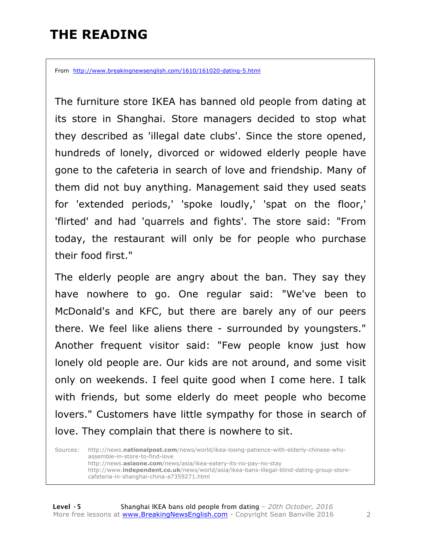# **THE READING**

From http://www.breakingnewsenglish.com/1610/161020-dating-5.html

The furniture store IKEA has banned old people from dating at its store in Shanghai. Store managers decided to stop what they described as 'illegal date clubs'. Since the store opened, hundreds of lonely, divorced or widowed elderly people have gone to the cafeteria in search of love and friendship. Many of them did not buy anything. Management said they used seats for 'extended periods,' 'spoke loudly,' 'spat on the floor,' 'flirted' and had 'quarrels and fights'. The store said: "From today, the restaurant will only be for people who purchase their food first."

The elderly people are angry about the ban. They say they have nowhere to go. One regular said: "We've been to McDonald's and KFC, but there are barely any of our peers there. We feel like aliens there - surrounded by youngsters." Another frequent visitor said: "Few people know just how lonely old people are. Our kids are not around, and some visit only on weekends. I feel quite good when I come here. I talk with friends, but some elderly do meet people who become lovers." Customers have little sympathy for those in search of love. They complain that there is nowhere to sit.

Sources: http://news.**nationalpost.com**/news/world/ikea-losing-patience-with-elderly-chinese-whoassemble-in-store-to-find-love http://news.**asiaone.com**/news/asia/ikea-eatery-its-no-pay-no-stay http://www.**independent.co.uk**/news/world/asia/ikea-bans-illegal-blind-dating-group-storecafeteria-in-shanghai-china-a7359271.html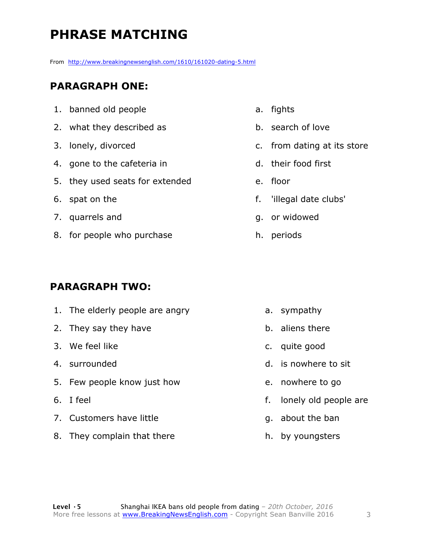# **PHRASE MATCHING**

From http://www.breakingnewsenglish.com/1610/161020-dating-5.html

#### **PARAGRAPH ONE:**

- 1. banned old people
- 2. what they described as
- 3. lonely, divorced
- 4. gone to the cafeteria in
- 5. they used seats for extended
- 6. spat on the
- 7. quarrels and
- 8. for people who purchase

#### **PARAGRAPH TWO:**

- 1. The elderly people are angry
- 2. They say they have
- 3. We feel like
- 4. surrounded
- 5. Few people know just how
- 6. I feel
- 7. Customers have little
- 8. They complain that there
- a. fights
- b. search of love
- c. from dating at its store
- d. their food first
- e. floor
- f. 'illegal date clubs'
- g. or widowed
- h. periods

- a. sympathy
- b. aliens there
- c. quite good
- d. is nowhere to sit
- e. nowhere to go
- f. lonely old people are
- g. about the ban
- h. by youngsters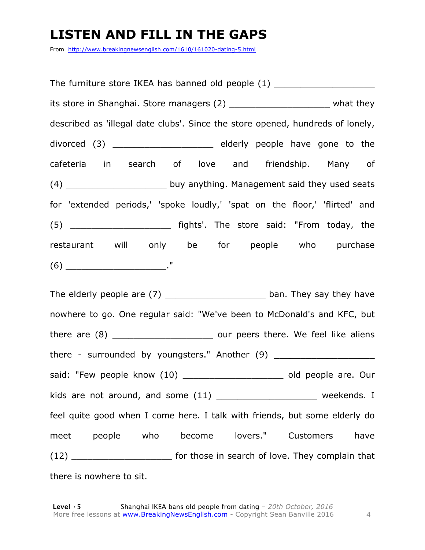### **LISTEN AND FILL IN THE GAPS**

From http://www.breakingnewsenglish.com/1610/161020-dating-5.html

The furniture store IKEA has banned old people (1) \_\_\_\_\_\_\_\_\_\_\_\_\_\_\_\_\_\_\_\_\_\_\_\_\_\_\_\_\_ its store in Shanghai. Store managers (2) \_\_\_\_\_\_\_\_\_\_\_\_\_\_\_\_\_\_\_\_\_\_\_\_\_ what they described as 'illegal date clubs'. Since the store opened, hundreds of lonely, divorced (3) \_\_\_\_\_\_\_\_\_\_\_\_\_\_\_\_\_\_\_ elderly people have gone to the cafeteria in search of love and friendship. Many of (4) \_\_\_\_\_\_\_\_\_\_\_\_\_\_\_\_\_\_\_ buy anything. Management said they used seats for 'extended periods,' 'spoke loudly,' 'spat on the floor,' 'flirted' and (5) \_\_\_\_\_\_\_\_\_\_\_\_\_\_\_\_\_\_\_ fights'. The store said: "From today, the restaurant will only be for people who purchase  $(6)$  \_\_\_\_\_\_\_\_\_\_\_\_\_\_\_\_\_\_\_\_\_\_\_\_\_\_\_\_\_\_."

The elderly people are (7) \_\_\_\_\_\_\_\_\_\_\_\_\_\_\_\_\_\_\_\_\_\_\_\_ ban. They say they have nowhere to go. One regular said: "We've been to McDonald's and KFC, but there are (8) **there** are (8) **there** are (8) there - surrounded by youngsters." Another (9) \_\_\_\_\_\_\_\_\_\_\_\_\_\_\_\_\_\_\_\_\_\_\_\_\_\_\_\_\_\_\_\_\_ said: "Few people know (10) \_\_\_\_\_\_\_\_\_\_\_\_\_\_\_\_\_\_\_\_\_\_\_ old people are. Our kids are not around, and some  $(11)$  \_\_\_\_\_\_\_\_\_\_\_\_\_\_\_\_\_\_\_\_\_\_\_\_ weekends. I feel quite good when I come here. I talk with friends, but some elderly do meet people who become lovers." Customers have (12) **Example 2** for those in search of love. They complain that there is nowhere to sit.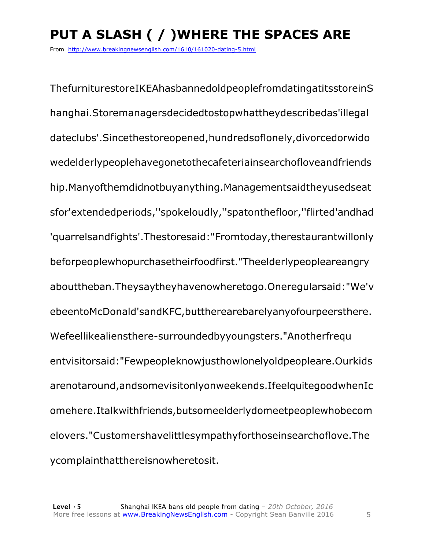# **PUT A SLASH ( / )WHERE THE SPACES ARE**

From http://www.breakingnewsenglish.com/1610/161020-dating-5.html

ThefurniturestoreIKEAhasbannedoldpeoplefromdatingatitsstoreinS hanghai.Storemanagersdecidedtostopwhattheydescribedas'illegal dateclubs'.Sincethestoreopened,hundredsoflonely,divorcedorwido wedelderlypeoplehavegonetothecafeteriainsearchofloveandfriends hip.Manyofthemdidnotbuyanything.Managementsaidtheyusedseat sfor'extendedperiods,''spokeloudly,''spatonthefloor,''flirted'andhad 'quarrelsandfights'.Thestoresaid:"Fromtoday,therestaurantwillonly beforpeoplewhopurchasetheirfoodfirst."Theelderlypeopleareangry abouttheban.Theysaytheyhavenowheretogo.Oneregularsaid:"We'v ebeentoMcDonald'sandKFC,buttherearebarelyanyofourpeersthere. Wefeellikealiensthere-surroundedbyyoungsters."Anotherfrequ entvisitorsaid:"Fewpeopleknowjusthowlonelyoldpeopleare.Ourkids arenotaround,andsomevisitonlyonweekends.IfeelquitegoodwhenIc omehere.Italkwithfriends,butsomeelderlydomeetpeoplewhobecom elovers."Customershavelittlesympathyforthoseinsearchoflove.The ycomplainthatthereisnowheretosit.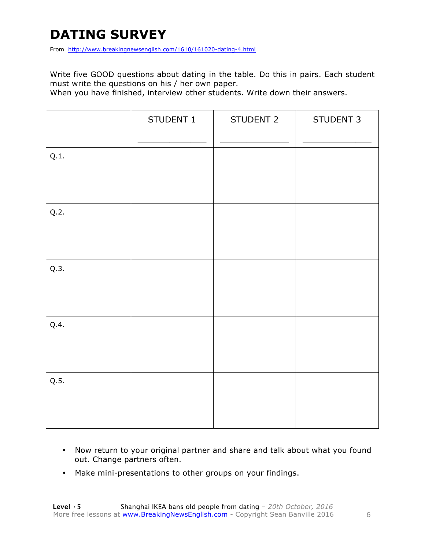# **DATING SURVEY**

From http://www.breakingnewsenglish.com/1610/161020-dating-4.html

Write five GOOD questions about dating in the table. Do this in pairs. Each student must write the questions on his / her own paper.

When you have finished, interview other students. Write down their answers.

|      | STUDENT 1 | STUDENT 2 | STUDENT 3 |
|------|-----------|-----------|-----------|
| Q.1. |           |           |           |
| Q.2. |           |           |           |
| Q.3. |           |           |           |
| Q.4. |           |           |           |
| Q.5. |           |           |           |

- Now return to your original partner and share and talk about what you found out. Change partners often.
- Make mini-presentations to other groups on your findings.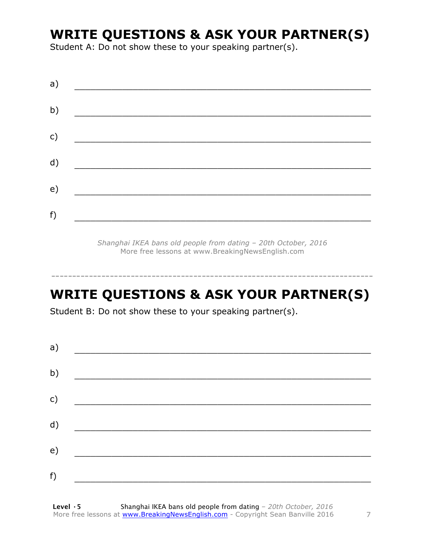## **WRITE QUESTIONS & ASK YOUR PARTNER(S)**

Student A: Do not show these to your speaking partner(s).

| a) |  |  |
|----|--|--|
| b) |  |  |
| c) |  |  |
| d) |  |  |
| e) |  |  |
|    |  |  |
| f) |  |  |

*Shanghai IKEA bans old people from dating – 20th October, 2016* More free lessons at www.BreakingNewsEnglish.com

# **WRITE QUESTIONS & ASK YOUR PARTNER(S)**

-----------------------------------------------------------------------------

Student B: Do not show these to your speaking partner(s).

| a) |  |  |
|----|--|--|
| b) |  |  |
| c) |  |  |
| d) |  |  |
| e) |  |  |
| f) |  |  |
|    |  |  |